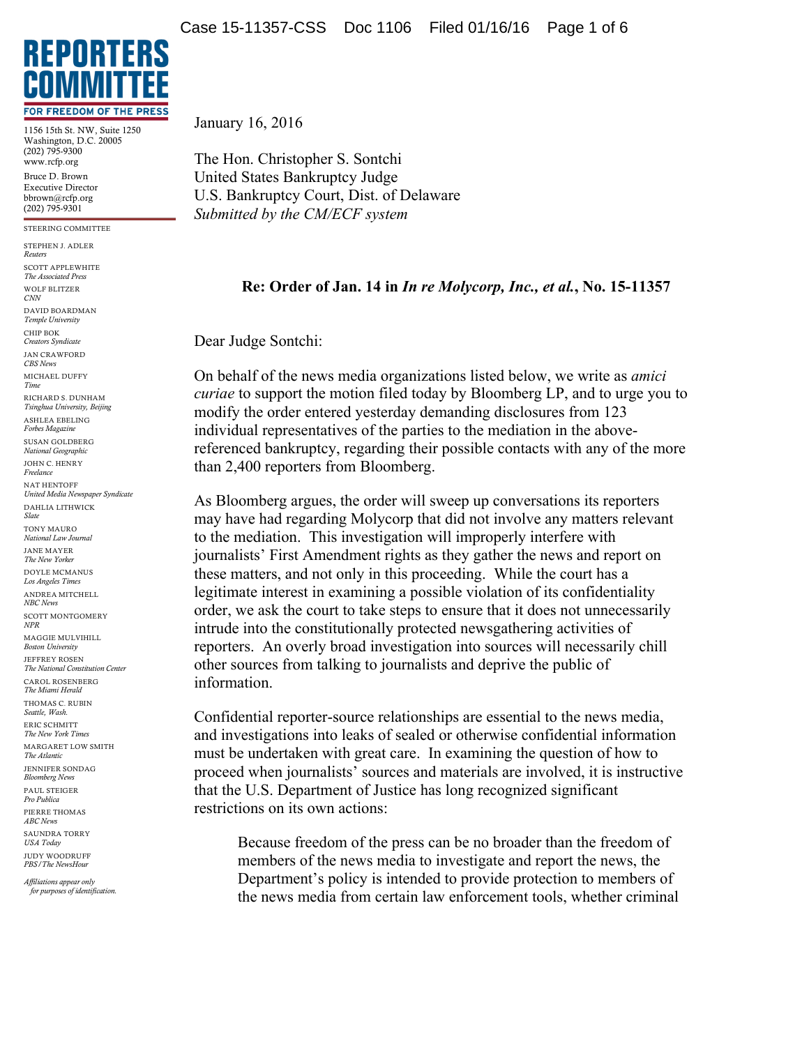

1156 15th St. NW, Suite 1250 Washington, D.C. 20005 (202) 795-9300 www.rcfp.org Bruce D. Brown Executive Director bbrown@rcfp.org (202) 795-9301

STEERING COMMITTEE STEPHEN J. ADLER *Reuters* SCOTT APPLEWHITE *The Associated Press* WOLF BLITZER *CNN* DAVID BOARDMAN *Temple University* CHIP BOK *Creators Syndicate* JAN CRAWFORD *CBS News* MICHAEL DUFFY *Time* RICHARD S. DUNHAM *Tsinghua University, Beijing* ASHLEA EBELING *Forbes Magazine* SUSAN GOLDBERG *National Geographic* JOHN C. HENRY *Freelance* NAT HENTOFF *United Media Newspaper Syndicate* DAHLIA LITHWICK *Slate* TONY MAURO *National Law Journal* JANE MAYER *The New Yorker* DOYLE MCMANUS *Los Angeles Times* ANDREA MITCHELL *NBC News* SCOTT MONTGOMERY *NPR* MAGGIE MULVIHILL *Boston University* JEFFREY ROSEN *The National Constitution Center* CAROL ROSENBERG *The Miami Herald* THOMAS C. RUBIN *Seattle, Wash.* ERIC SCHMITT *The New York Times* MARGARET LOW SMITH *The Atlantic* JENNIFER SONDAG *Bloomberg News* PAUL STEIGER *Pro Publica* PIERRE THOMAS *ABC News*

SAUNDRA TORRY *USA Today* JUDY WOODRUFF *PBS/The NewsHour*

*Affiliations appear only for purposes of identification.* January 16, 2016

The Hon. Christopher S. Sontchi United States Bankruptcy Judge U.S. Bankruptcy Court, Dist. of Delaware *Submitted by the CM/ECF system*

## **Re: Order of Jan. 14 in** *In re Molycorp, Inc., et al.***, No. 15-11357**

Dear Judge Sontchi:

On behalf of the news media organizations listed below, we write as *amici curiae* to support the motion filed today by Bloomberg LP, and to urge you to modify the order entered yesterday demanding disclosures from 123 individual representatives of the parties to the mediation in the abovereferenced bankruptcy, regarding their possible contacts with any of the more than 2,400 reporters from Bloomberg.

As Bloomberg argues, the order will sweep up conversations its reporters may have had regarding Molycorp that did not involve any matters relevant to the mediation. This investigation will improperly interfere with journalists' First Amendment rights as they gather the news and report on these matters, and not only in this proceeding. While the court has a legitimate interest in examining a possible violation of its confidentiality order, we ask the court to take steps to ensure that it does not unnecessarily intrude into the constitutionally protected newsgathering activities of reporters. An overly broad investigation into sources will necessarily chill other sources from talking to journalists and deprive the public of information.

Confidential reporter-source relationships are essential to the news media, and investigations into leaks of sealed or otherwise confidential information must be undertaken with great care. In examining the question of how to proceed when journalists' sources and materials are involved, it is instructive that the U.S. Department of Justice has long recognized significant restrictions on its own actions:

Because freedom of the press can be no broader than the freedom of members of the news media to investigate and report the news, the Department's policy is intended to provide protection to members of the news media from certain law enforcement tools, whether criminal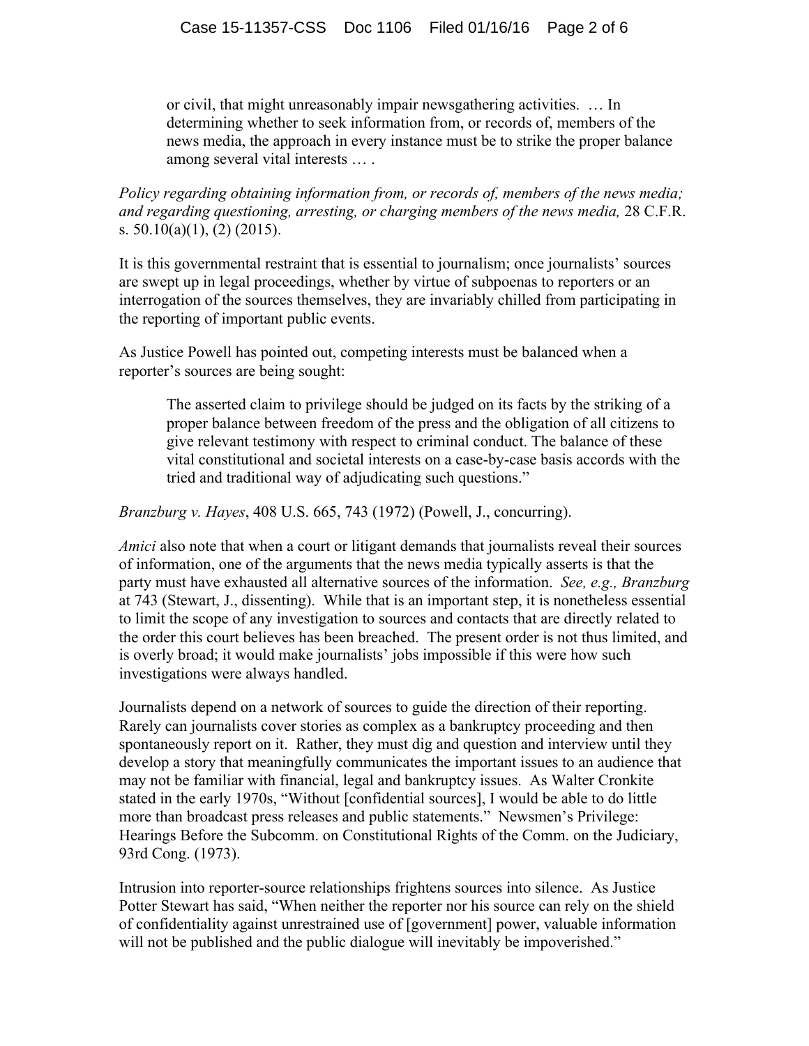or civil, that might unreasonably impair newsgathering activities. … In determining whether to seek information from, or records of, members of the news media, the approach in every instance must be to strike the proper balance among several vital interests … .

*Policy regarding obtaining information from, or records of, members of the news media; and regarding questioning, arresting, or charging members of the news media,* 28 C.F.R. s.  $50.10(a)(1)$ ,  $(2)$   $(2015)$ .

It is this governmental restraint that is essential to journalism; once journalists' sources are swept up in legal proceedings, whether by virtue of subpoenas to reporters or an interrogation of the sources themselves, they are invariably chilled from participating in the reporting of important public events.

As Justice Powell has pointed out, competing interests must be balanced when a reporter's sources are being sought:

The asserted claim to privilege should be judged on its facts by the striking of a proper balance between freedom of the press and the obligation of all citizens to give relevant testimony with respect to criminal conduct. The balance of these vital constitutional and societal interests on a case-by-case basis accords with the tried and traditional way of adjudicating such questions."

*Branzburg v. Hayes*, 408 U.S. 665, 743 (1972) (Powell, J., concurring).

*Amici* also note that when a court or litigant demands that journalists reveal their sources of information, one of the arguments that the news media typically asserts is that the party must have exhausted all alternative sources of the information. *See, e.g., Branzburg* at 743 (Stewart, J., dissenting). While that is an important step, it is nonetheless essential to limit the scope of any investigation to sources and contacts that are directly related to the order this court believes has been breached. The present order is not thus limited, and is overly broad; it would make journalists' jobs impossible if this were how such investigations were always handled.

Journalists depend on a network of sources to guide the direction of their reporting. Rarely can journalists cover stories as complex as a bankruptcy proceeding and then spontaneously report on it. Rather, they must dig and question and interview until they develop a story that meaningfully communicates the important issues to an audience that may not be familiar with financial, legal and bankruptcy issues. As Walter Cronkite stated in the early 1970s, "Without [confidential sources], I would be able to do little more than broadcast press releases and public statements." Newsmen's Privilege: Hearings Before the Subcomm. on Constitutional Rights of the Comm. on the Judiciary, 93rd Cong. (1973).

Intrusion into reporter-source relationships frightens sources into silence. As Justice Potter Stewart has said, "When neither the reporter nor his source can rely on the shield of confidentiality against unrestrained use of [government] power, valuable information will not be published and the public dialogue will inevitably be impoverished."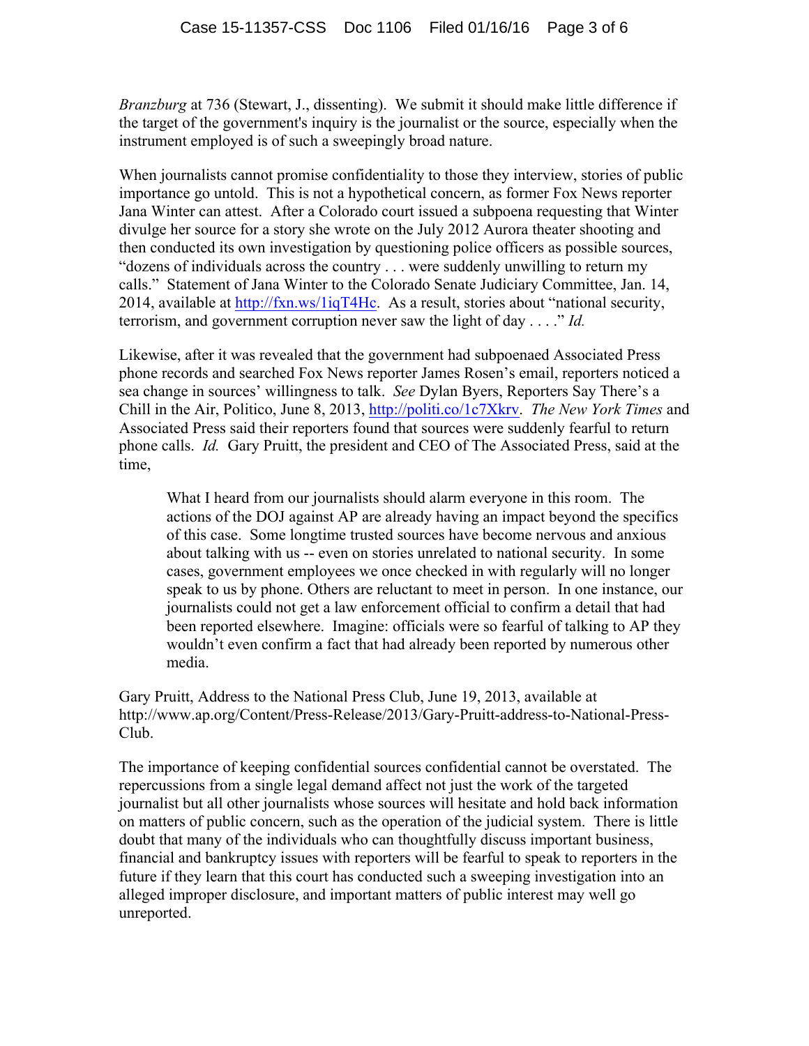*Branzburg* at 736 (Stewart, J., dissenting). We submit it should make little difference if the target of the government's inquiry is the journalist or the source, especially when the instrument employed is of such a sweepingly broad nature.

When journalists cannot promise confidentiality to those they interview, stories of public importance go untold. This is not a hypothetical concern, as former Fox News reporter Jana Winter can attest. After a Colorado court issued a subpoena requesting that Winter divulge her source for a story she wrote on the July 2012 Aurora theater shooting and then conducted its own investigation by questioning police officers as possible sources, "dozens of individuals across the country . . . were suddenly unwilling to return my calls." Statement of Jana Winter to the Colorado Senate Judiciary Committee, Jan. 14, 2014, available at http://fxn.ws/1iqT4Hc. As a result, stories about "national security, terrorism, and government corruption never saw the light of day . . . ." *Id.*

Likewise, after it was revealed that the government had subpoenaed Associated Press phone records and searched Fox News reporter James Rosen's email, reporters noticed a sea change in sources' willingness to talk. *See* Dylan Byers, Reporters Say There's a Chill in the Air, Politico, June 8, 2013, http://politi.co/1c7Xkrv. *The New York Times* and Associated Press said their reporters found that sources were suddenly fearful to return phone calls. *Id.* Gary Pruitt, the president and CEO of The Associated Press, said at the time,

What I heard from our journalists should alarm everyone in this room. The actions of the DOJ against AP are already having an impact beyond the specifics of this case. Some longtime trusted sources have become nervous and anxious about talking with us -- even on stories unrelated to national security. In some cases, government employees we once checked in with regularly will no longer speak to us by phone. Others are reluctant to meet in person. In one instance, our journalists could not get a law enforcement official to confirm a detail that had been reported elsewhere. Imagine: officials were so fearful of talking to AP they wouldn't even confirm a fact that had already been reported by numerous other media.

Gary Pruitt, Address to the National Press Club, June 19, 2013, available at http://www.ap.org/Content/Press-Release/2013/Gary-Pruitt-address-to-National-Press-Club.

The importance of keeping confidential sources confidential cannot be overstated. The repercussions from a single legal demand affect not just the work of the targeted journalist but all other journalists whose sources will hesitate and hold back information on matters of public concern, such as the operation of the judicial system. There is little doubt that many of the individuals who can thoughtfully discuss important business, financial and bankruptcy issues with reporters will be fearful to speak to reporters in the future if they learn that this court has conducted such a sweeping investigation into an alleged improper disclosure, and important matters of public interest may well go unreported.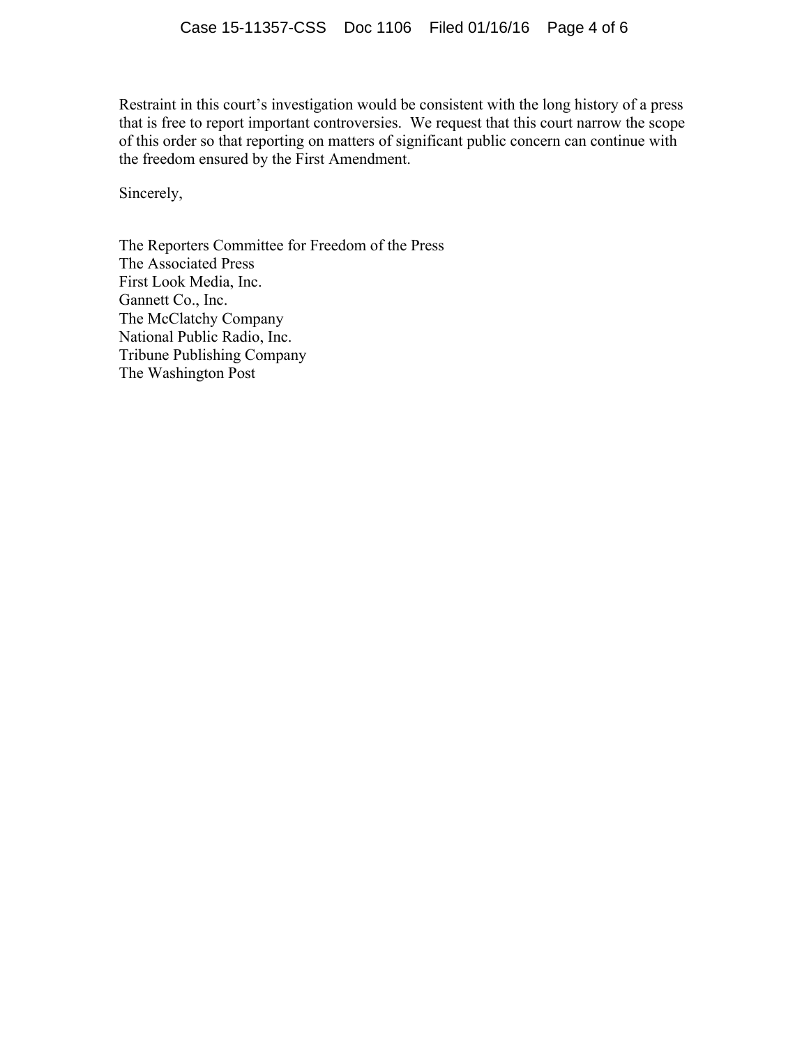Restraint in this court's investigation would be consistent with the long history of a press that is free to report important controversies. We request that this court narrow the scope of this order so that reporting on matters of significant public concern can continue with the freedom ensured by the First Amendment.

Sincerely,

The Reporters Committee for Freedom of the Press The Associated Press First Look Media, Inc. Gannett Co., Inc. The McClatchy Company National Public Radio, Inc. Tribune Publishing Company The Washington Post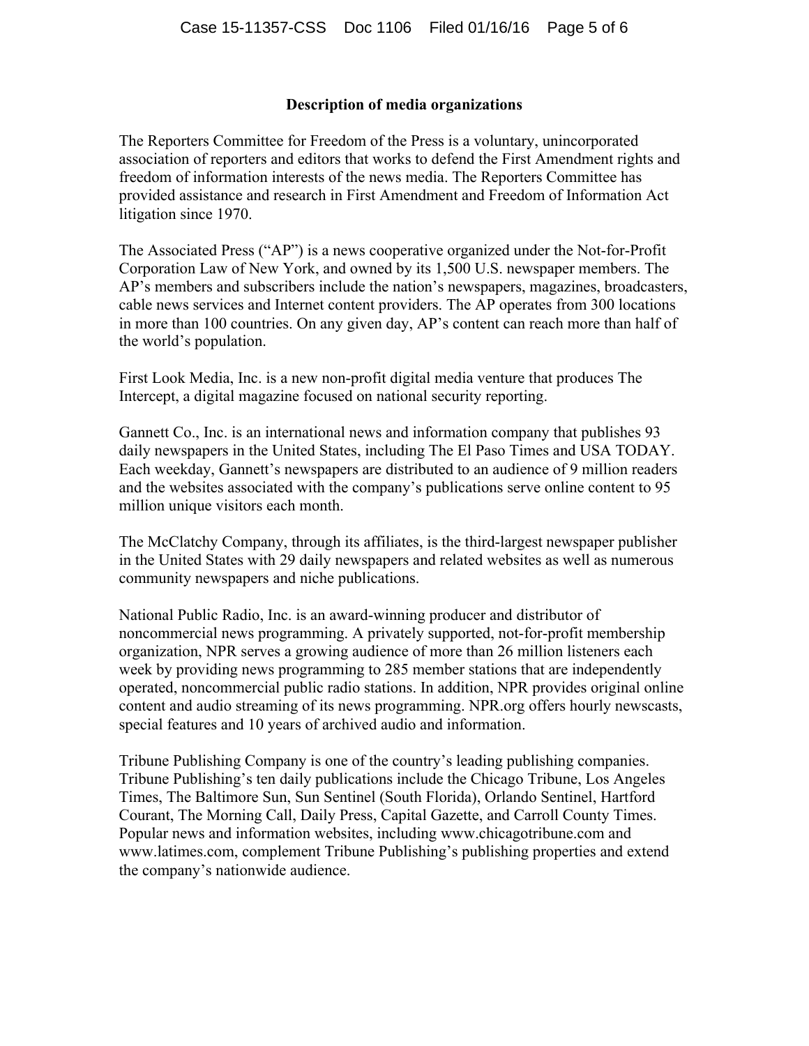## **Description of media organizations**

The Reporters Committee for Freedom of the Press is a voluntary, unincorporated association of reporters and editors that works to defend the First Amendment rights and freedom of information interests of the news media. The Reporters Committee has provided assistance and research in First Amendment and Freedom of Information Act litigation since 1970.

The Associated Press ("AP") is a news cooperative organized under the Not-for-Profit Corporation Law of New York, and owned by its 1,500 U.S. newspaper members. The AP's members and subscribers include the nation's newspapers, magazines, broadcasters, cable news services and Internet content providers. The AP operates from 300 locations in more than 100 countries. On any given day, AP's content can reach more than half of the world's population.

First Look Media, Inc. is a new non-profit digital media venture that produces The Intercept, a digital magazine focused on national security reporting.

Gannett Co., Inc. is an international news and information company that publishes 93 daily newspapers in the United States, including The El Paso Times and USA TODAY. Each weekday, Gannett's newspapers are distributed to an audience of 9 million readers and the websites associated with the company's publications serve online content to 95 million unique visitors each month.

The McClatchy Company, through its affiliates, is the third-largest newspaper publisher in the United States with 29 daily newspapers and related websites as well as numerous community newspapers and niche publications.

National Public Radio, Inc. is an award-winning producer and distributor of noncommercial news programming. A privately supported, not-for-profit membership organization, NPR serves a growing audience of more than 26 million listeners each week by providing news programming to 285 member stations that are independently operated, noncommercial public radio stations. In addition, NPR provides original online content and audio streaming of its news programming. NPR.org offers hourly newscasts, special features and 10 years of archived audio and information.

Tribune Publishing Company is one of the country's leading publishing companies. Tribune Publishing's ten daily publications include the Chicago Tribune, Los Angeles Times, The Baltimore Sun, Sun Sentinel (South Florida), Orlando Sentinel, Hartford Courant, The Morning Call, Daily Press, Capital Gazette, and Carroll County Times. Popular news and information websites, including www.chicagotribune.com and www.latimes.com, complement Tribune Publishing's publishing properties and extend the company's nationwide audience.